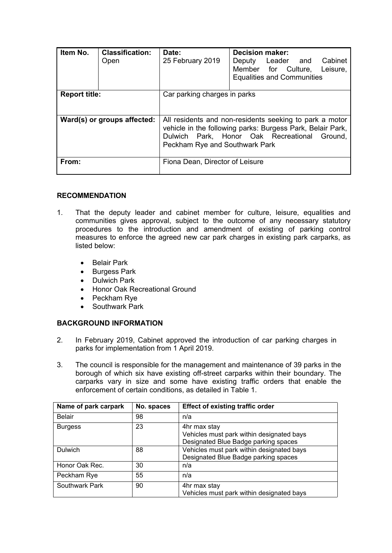| Item No.                    | <b>Classification:</b><br>Open | Date:<br>25 February 2019                                                                                                                                                                               | Decision maker:<br>Cabinet<br>Deputy Leader and<br>Member for Culture,<br>Leisure,<br><b>Equalities and Communities</b> |  |
|-----------------------------|--------------------------------|---------------------------------------------------------------------------------------------------------------------------------------------------------------------------------------------------------|-------------------------------------------------------------------------------------------------------------------------|--|
| <b>Report title:</b>        |                                | Car parking charges in parks                                                                                                                                                                            |                                                                                                                         |  |
| Ward(s) or groups affected: |                                | All residents and non-residents seeking to park a motor<br>vehicle in the following parks: Burgess Park, Belair Park,<br>Dulwich Park, Honor Oak Recreational Ground,<br>Peckham Rye and Southwark Park |                                                                                                                         |  |
| From:                       |                                | Fiona Dean, Director of Leisure                                                                                                                                                                         |                                                                                                                         |  |

# **RECOMMENDATION**

- 1. That the deputy leader and cabinet member for culture, leisure, equalities and communities gives approval, subject to the outcome of any necessary statutory procedures to the introduction and amendment of existing of parking control measures to enforce the agreed new car park charges in existing park carparks, as listed below:
	- Belair Park
	- Burgess Park
	- Dulwich Park
	- Honor Oak Recreational Ground
	- Peckham Rye
	- Southwark Park

# **BACKGROUND INFORMATION**

- 2. In February 2019, Cabinet approved the introduction of car parking charges in parks for implementation from 1 April 2019.
- 3. The council is responsible for the management and maintenance of 39 parks in the borough of which six have existing off-street carparks within their boundary. The carparks vary in size and some have existing traffic orders that enable the enforcement of certain conditions, as detailed in Table 1.

| Name of park carpark | No. spaces | <b>Effect of existing traffic order</b>                                                           |
|----------------------|------------|---------------------------------------------------------------------------------------------------|
| <b>Belair</b>        | 98         | n/a                                                                                               |
| <b>Burgess</b>       | 23         | 4hr max stay<br>Vehicles must park within designated bays<br>Designated Blue Badge parking spaces |
| Dulwich              | 88         | Vehicles must park within designated bays<br>Designated Blue Badge parking spaces                 |
| Honor Oak Rec.       | 30         | n/a                                                                                               |
| Peckham Rye          | 55         | n/a                                                                                               |
| Southwark Park       | 90         | 4hr max stay<br>Vehicles must park within designated bays                                         |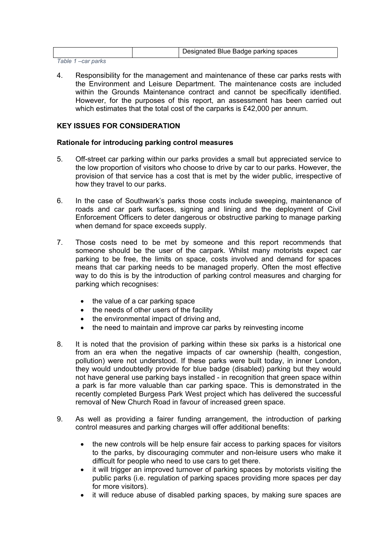| Designated Blue Badge parking spaces |
|--------------------------------------|
|--------------------------------------|

*Table 1 –car parks*

4. Responsibility for the management and maintenance of these car parks rests with the Environment and Leisure Department. The maintenance costs are included within the Grounds Maintenance contract and cannot be specifically identified. However, for the purposes of this report, an assessment has been carried out which estimates that the total cost of the carparks is £42,000 per annum.

# **KEY ISSUES FOR CONSIDERATION**

# **Rationale for introducing parking control measures**

- 5. Off-street car parking within our parks provides a small but appreciated service to the low proportion of visitors who choose to drive by car to our parks. However, the provision of that service has a cost that is met by the wider public, irrespective of how they travel to our parks.
- 6. In the case of Southwark's parks those costs include sweeping, maintenance of roads and car park surfaces, signing and lining and the deployment of Civil Enforcement Officers to deter dangerous or obstructive parking to manage parking when demand for space exceeds supply.
- 7. Those costs need to be met by someone and this report recommends that someone should be the user of the carpark. Whilst many motorists expect car parking to be free, the limits on space, costs involved and demand for spaces means that car parking needs to be managed properly. Often the most effective way to do this is by the introduction of parking control measures and charging for parking which recognises:
	- the value of a car parking space
	- the needs of other users of the facility
	- the environmental impact of driving and,
	- the need to maintain and improve car parks by reinvesting income
- 8. It is noted that the provision of parking within these six parks is a historical one from an era when the negative impacts of car ownership (health, congestion, pollution) were not understood. If these parks were built today, in inner London, they would undoubtedly provide for blue badge (disabled) parking but they would not have general use parking bays installed - in recognition that green space within a park is far more valuable than car parking space. This is demonstrated in the recently completed Burgess Park West project which has delivered the successful removal of New Church Road in favour of increased green space.
- 9. As well as providing a fairer funding arrangement, the introduction of parking control measures and parking charges will offer additional benefits:
	- the new controls will be help ensure fair access to parking spaces for visitors to the parks, by discouraging commuter and non-leisure users who make it difficult for people who need to use cars to get there.
	- it will trigger an improved turnover of parking spaces by motorists visiting the public parks (i.e. regulation of parking spaces providing more spaces per day for more visitors).
	- it will reduce abuse of disabled parking spaces, by making sure spaces are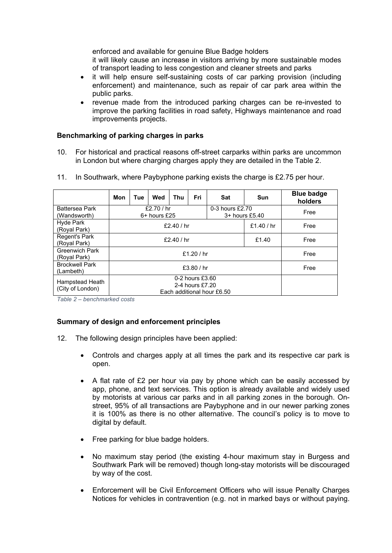enforced and available for genuine Blue Badge holders

it will likely cause an increase in visitors arriving by more sustainable modes of transport leading to less congestion and cleaner streets and parks

- it will help ensure self-sustaining costs of car parking provision (including enforcement) and maintenance, such as repair of car park area within the public parks.
- revenue made from the introduced parking charges can be re-invested to improve the parking facilities in road safety, Highways maintenance and road improvements projects.

# **Benchmarking of parking charges in parks**

10. For historical and practical reasons off-street carparks within parks are uncommon in London but where charging charges apply they are detailed in the Table 2.

|  |  | 11. In Southwark, where Paybyphone parking exists the charge is £2.75 per hour. |  |  |  |
|--|--|---------------------------------------------------------------------------------|--|--|--|
|--|--|---------------------------------------------------------------------------------|--|--|--|

|                                       | Mon                                                              | Tue | Wed | Thu                               | Fri        | Sat  | <b>Sun</b> | <b>Blue badge</b><br>holders |
|---------------------------------------|------------------------------------------------------------------|-----|-----|-----------------------------------|------------|------|------------|------------------------------|
| <b>Battersea Park</b><br>(Wandsworth) | £2.70 $/$ hr<br>$6+$ hours £25                                   |     |     | 0-3 hours £2.70<br>3+ hours £5.40 |            | Free |            |                              |
| Hyde Park<br>(Royal Park)             | £2.40 / $hr$                                                     |     |     |                                   | £1.40 / hr | Free |            |                              |
| Regent's Park<br>(Royal Park)         | £2.40 / $hr$<br>£1.40                                            |     |     | Free                              |            |      |            |                              |
| <b>Greenwich Park</b><br>(Royal Park) | £1.20 / hr                                                       |     |     | Free                              |            |      |            |                              |
| <b>Brockwell Park</b><br>(Lambeth)    | £3.80 $/$ hr                                                     |     |     | Free                              |            |      |            |                              |
| Hampstead Heath<br>(City of London)   | 0-2 hours £3.60<br>2-4 hours £7.20<br>Each additional hour £6.50 |     |     |                                   |            |      |            |                              |

*Table 2 – benchmarked costs*

# **Summary of design and enforcement principles**

- 12. The following design principles have been applied:
	- Controls and charges apply at all times the park and its respective car park is open.
	- A flat rate of £2 per hour via pay by phone which can be easily accessed by app, phone, and text services. This option is already available and widely used by motorists at various car parks and in all parking zones in the borough. Onstreet, 95% of all transactions are Paybyphone and in our newer parking zones it is 100% as there is no other alternative. The council's policy is to move to digital by default.
	- Free parking for blue badge holders.
	- No maximum stay period (the existing 4-hour maximum stay in Burgess and Southwark Park will be removed) though long-stay motorists will be discouraged by way of the cost.
	- Enforcement will be Civil Enforcement Officers who will issue Penalty Charges Notices for vehicles in contravention (e.g. not in marked bays or without paying.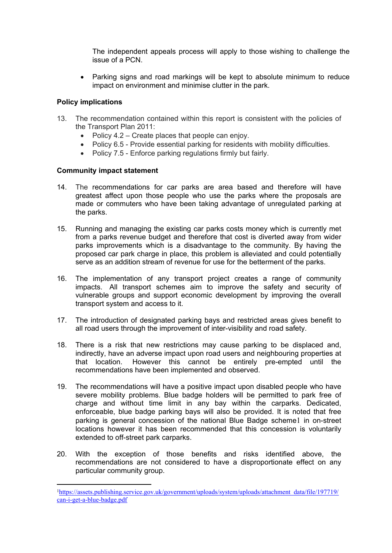The independent appeals process will apply to those wishing to challenge the issue of a PCN.

• Parking signs and road markings will be kept to absolute minimum to reduce impact on environment and minimise clutter in the park.

# **Policy implications**

- 13. The recommendation contained within this report is consistent with the policies of the Transport Plan 2011:
	- Policy  $4.2$  Create places that people can enjoy.
	- Policy 6.5 Provide essential parking for residents with mobility difficulties.
	- Policy 7.5 Enforce parking regulations firmly but fairly.

# **Community impact statement**

- 14. The recommendations for car parks are area based and therefore will have greatest affect upon those people who use the parks where the proposals are made or commuters who have been taking advantage of unregulated parking at the parks.
- 15. Running and managing the existing car parks costs money which is currently met from a parks revenue budget and therefore that cost is diverted away from wider parks improvements which is a disadvantage to the community. By having the proposed car park charge in place, this problem is alleviated and could potentially serve as an addition stream of revenue for use for the betterment of the parks.
- 16. The implementation of any transport project creates a range of community impacts. All transport schemes aim to improve the safety and security of vulnerable groups and support economic development by improving the overall transport system and access to it.
- 17. The introduction of designated parking bays and restricted areas gives benefit to all road users through the improvement of inter-visibility and road safety.
- 18. There is a risk that new restrictions may cause parking to be displaced and, indirectly, have an adverse impact upon road users and neighbouring properties at that location. However this cannot be entirely pre-empted until the recommendations have been implemented and observed.
- 19. The recommendations will have a positive impact upon disabled people who have severe mobility problems. Blue badge holders will be permitted to park free of charge and without time limit in any bay within the carparks. Dedicated, enforceable, blue badge parking bays will also be provided. It is noted that free parking is general concession of the national Blue Badge scheme1 in on-street locations however it has been recommended that this concession is voluntarily extended to off-street park carparks.
- 20. With the exception of those benefits and risks identified above, the recommendations are not considered to have a disproportionate effect on any particular community group.

<sup>&</sup>lt;sup>1</sup>[https://assets.publishing.service.gov.uk/government/uploads/system/uploads/attachment\\_data/file/197719/](https://assets.publishing.service.gov.uk/government/uploads/system/uploads/attachment_data/file/197719/can-i-get-a-blue-badge.pdf) [can-i-get-a-blue-badge.pdf](https://assets.publishing.service.gov.uk/government/uploads/system/uploads/attachment_data/file/197719/can-i-get-a-blue-badge.pdf)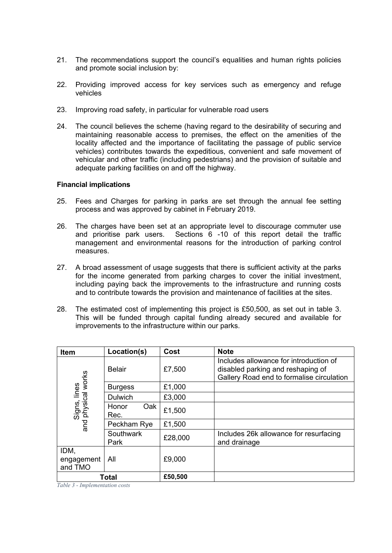- 21. The recommendations support the council's equalities and human rights policies and promote social inclusion by:
- 22. Providing improved access for key services such as emergency and refuge vehicles
- 23. Improving road safety, in particular for vulnerable road users
- 24. The council believes the scheme (having regard to the desirability of securing and maintaining reasonable access to premises, the effect on the amenities of the locality affected and the importance of facilitating the passage of public service vehicles) contributes towards the expeditious, convenient and safe movement of vehicular and other traffic (including pedestrians) and the provision of suitable and adequate parking facilities on and off the highway.

#### **Financial implications**

- 25. Fees and Charges for parking in parks are set through the annual fee setting process and was approved by cabinet in February 2019.
- 26. The charges have been set at an appropriate level to discourage commuter use and prioritise park users. Sections 6 -10 of this report detail the traffic management and environmental reasons for the introduction of parking control measures.
- 27. A broad assessment of usage suggests that there is sufficient activity at the parks for the income generated from parking charges to cover the initial investment, including paying back the improvements to the infrastructure and running costs and to contribute towards the provision and maintenance of facilities at the sites.
- 28. The estimated cost of implementing this project is £50,500, as set out in table 3. This will be funded through capital funding already secured and available for improvements to the infrastructure within our parks.

| <b>Item</b>                        | Location(s)          | Cost    | <b>Note</b>                                                                                                              |
|------------------------------------|----------------------|---------|--------------------------------------------------------------------------------------------------------------------------|
|                                    | <b>Belair</b>        | £7,500  | Includes allowance for introduction of<br>disabled parking and reshaping of<br>Gallery Road end to formalise circulation |
|                                    | <b>Burgess</b>       | £1,000  |                                                                                                                          |
|                                    | <b>Dulwich</b>       | £3,000  |                                                                                                                          |
| Signs, lines<br>and physical works | Oak<br>Honor<br>Rec. | £1,500  |                                                                                                                          |
|                                    | Peckham Rye          | £1,500  |                                                                                                                          |
|                                    | Southwark<br>Park    | £28,000 | Includes 26k allowance for resurfacing<br>and drainage                                                                   |
| IDM,<br>engagement<br>and TMO      | All                  | £9,000  |                                                                                                                          |
|                                    | Total                | £50,500 |                                                                                                                          |

*Table 3 - Implementation costs*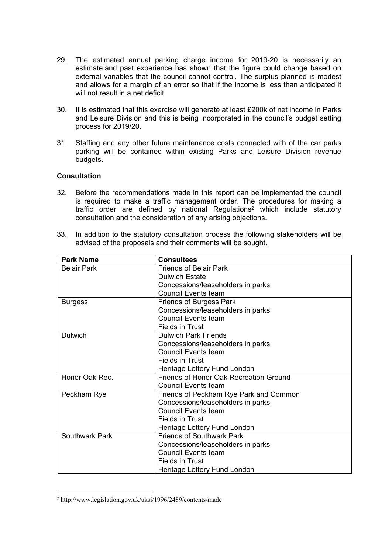- 29. The estimated annual parking charge income for 2019-20 is necessarily an estimate and past experience has shown that the figure could change based on external variables that the council cannot control. The surplus planned is modest and allows for a margin of an error so that if the income is less than anticipated it will not result in a net deficit.
- 30. It is estimated that this exercise will generate at least £200k of net income in Parks and Leisure Division and this is being incorporated in the council's budget setting process for 2019/20.
- 31. Staffing and any other future maintenance costs connected with of the car parks parking will be contained within existing Parks and Leisure Division revenue budgets.

## **Consultation**

- 32. Before the recommendations made in this report can be implemented the council is required to make a traffic management order. The procedures for making a traffic order are defined by national Regulations<sup>2</sup> which include statutory consultation and the consideration of any arising objections.
- 33. In addition to the statutory consultation process the following stakeholders will be advised of the proposals and their comments will be sought.

| <b>Park Name</b>   | <b>Consultees</b>                      |  |  |
|--------------------|----------------------------------------|--|--|
| <b>Belair Park</b> | <b>Friends of Belair Park</b>          |  |  |
|                    | <b>Dulwich Estate</b>                  |  |  |
|                    | Concessions/leaseholders in parks      |  |  |
|                    | <b>Council Events team</b>             |  |  |
| <b>Burgess</b>     | <b>Friends of Burgess Park</b>         |  |  |
|                    | Concessions/leaseholders in parks      |  |  |
|                    | <b>Council Events team</b>             |  |  |
|                    | <b>Fields in Trust</b>                 |  |  |
| <b>Dulwich</b>     | <b>Dulwich Park Friends</b>            |  |  |
|                    | Concessions/leaseholders in parks      |  |  |
|                    | <b>Council Events team</b>             |  |  |
|                    | <b>Fields in Trust</b>                 |  |  |
|                    | Heritage Lottery Fund London           |  |  |
| Honor Oak Rec.     | Friends of Honor Oak Recreation Ground |  |  |
|                    | <b>Council Events team</b>             |  |  |
| Peckham Rye        | Friends of Peckham Rye Park and Common |  |  |
|                    | Concessions/leaseholders in parks      |  |  |
|                    | <b>Council Events team</b>             |  |  |
|                    | <b>Fields in Trust</b>                 |  |  |
|                    | Heritage Lottery Fund London           |  |  |
| Southwark Park     | <b>Friends of Southwark Park</b>       |  |  |
|                    | Concessions/leaseholders in parks      |  |  |
|                    | <b>Council Events team</b>             |  |  |
|                    | <b>Fields in Trust</b>                 |  |  |
|                    | Heritage Lottery Fund London           |  |  |

<sup>2</sup> http://www.legislation.gov.uk/uksi/1996/2489/contents/made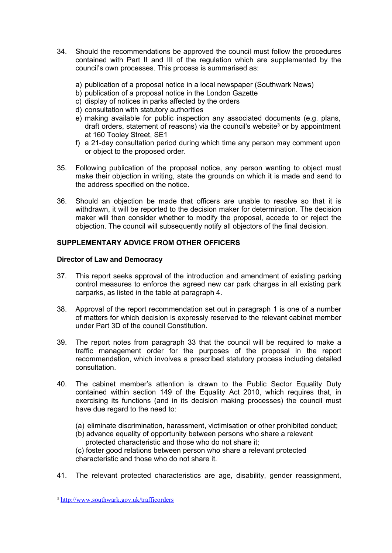- 34. Should the recommendations be approved the council must follow the procedures contained with Part II and III of the regulation which are supplemented by the council's own processes. This process is summarised as:
	- a) publication of a proposal notice in a local newspaper (Southwark News)
	- b) publication of a proposal notice in the London Gazette
	- c) display of notices in parks affected by the orders
	- d) consultation with statutory authorities
	- e) making available for public inspection any associated documents (e.g. plans, draft orders, statement of reasons) via the council's website<sup>3</sup> or by appointment at 160 Tooley Street, SE1
	- f) a 21-day consultation period during which time any person may comment upon or object to the proposed order.
- 35. Following publication of the proposal notice, any person wanting to object must make their objection in writing, state the grounds on which it is made and send to the address specified on the notice.
- 36. Should an objection be made that officers are unable to resolve so that it is withdrawn, it will be reported to the decision maker for determination. The decision maker will then consider whether to modify the proposal, accede to or reject the objection. The council will subsequently notify all objectors of the final decision.

# **SUPPLEMENTARY ADVICE FROM OTHER OFFICERS**

# **Director of Law and Democracy**

- 37. This report seeks approval of the introduction and amendment of existing parking control measures to enforce the agreed new car park charges in all existing park carparks, as listed in the table at paragraph 4.
- 38. Approval of the report recommendation set out in paragraph 1 is one of a number of matters for which decision is expressly reserved to the relevant cabinet member under Part 3D of the council Constitution.
- 39. The report notes from paragraph 33 that the council will be required to make a traffic management order for the purposes of the proposal in the report recommendation, which involves a prescribed statutory process including detailed consultation.
- 40. The cabinet member's attention is drawn to the Public Sector Equality Duty contained within section 149 of the Equality Act 2010, which requires that, in exercising its functions (and in its decision making processes) the council must have due regard to the need to:
	- (a) eliminate discrimination, harassment, victimisation or other prohibited conduct;
	- (b) advance equality of opportunity between persons who share a relevant protected characteristic and those who do not share it;

(c) foster good relations between person who share a relevant protected characteristic and those who do not share it.

41. The relevant protected characteristics are age, disability, gender reassignment,

<sup>3</sup> <http://www.southwark.gov.uk/trafficorders>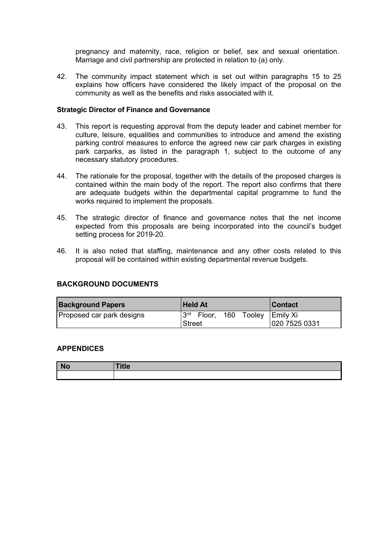pregnancy and maternity, race, religion or belief, sex and sexual orientation. Marriage and civil partnership are protected in relation to (a) only.

42. The community impact statement which is set out within paragraphs 15 to 25 explains how officers have considered the likely impact of the proposal on the community as well as the benefits and risks associated with it.

## **Strategic Director of Finance and Governance**

- 43. This report is requesting approval from the deputy leader and cabinet member for culture, leisure, equalities and communities to introduce and amend the existing parking control measures to enforce the agreed new car park charges in existing park carparks, as listed in the paragraph 1, subject to the outcome of any necessary statutory procedures.
- 44. The rationale for the proposal, together with the details of the proposed charges is contained within the main body of the report. The report also confirms that there are adequate budgets within the departmental capital programme to fund the works required to implement the proposals.
- 45. The strategic director of finance and governance notes that the net income expected from this proposals are being incorporated into the council's budget setting process for 2019-20.
- 46. It is also noted that staffing, maintenance and any other costs related to this proposal will be contained within existing departmental revenue budgets.

#### **BACKGROUND DOCUMENTS**

| <b>Background Papers</b>  | <b>Held At</b><br><b>Contact</b>                     |
|---------------------------|------------------------------------------------------|
| Proposed car park designs | 3 <sup>rd</sup><br>160 Tooley<br>Floor,<br>∣Emily Xi |
|                           | 020 7525 0331<br><b>Street</b>                       |

## **APPENDICES**

| $\overline{\phantom{a}}$ No | .<br>. пе- |
|-----------------------------|------------|
|                             |            |